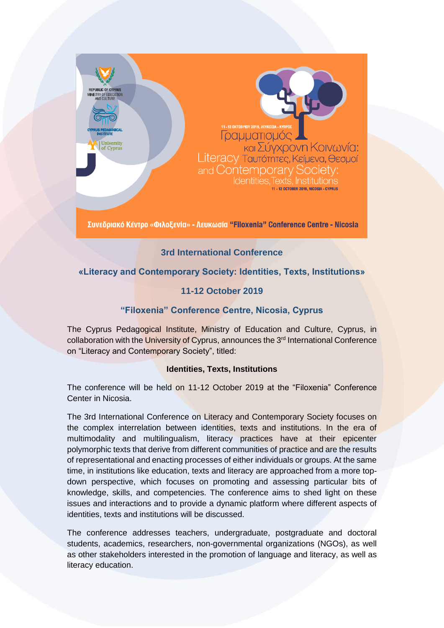

# **3rd International Conference**

# **«Literacy and Contemporary Society: Identities, Texts, Institutions»**

# **11-12 October 2019**

## **"Filoxenia" Conference Centre, Nicosia, Cyprus**

The Cyprus Pedagogical Institute, Ministry of Education and Culture, Cyprus, in collaboration with the University of Cyprus, announces the 3<sup>rd</sup> International Conference on "Literacy and Contemporary Society", titled:

#### **Identities, Texts, Institutions**

The conference will be held on 11-12 October 2019 at the "Filoxenia" Conference Center in Nicosia.

The 3rd International Conference on Literacy and Contemporary Society focuses on the complex interrelation between identities, texts and institutions. In the era of multimodality and multilingualism, literacy practices have at their epicenter polymorphic texts that derive from different communities of practice and are the results of representational and enacting processes of either individuals or groups. At the same time, in institutions like education, texts and literacy are approached from a more topdown perspective, which focuses on promoting and assessing particular bits of knowledge, skills, and competencies. The conference aims to shed light on these issues and interactions and to provide a dynamic platform where different aspects of identities, texts and institutions will be discussed.

The conference addresses teachers, undergraduate, postgraduate and doctoral students, academics, researchers, non-governmental organizations (NGOs), as well as other stakeholders interested in the promotion of language and literacy, as well as literacy education.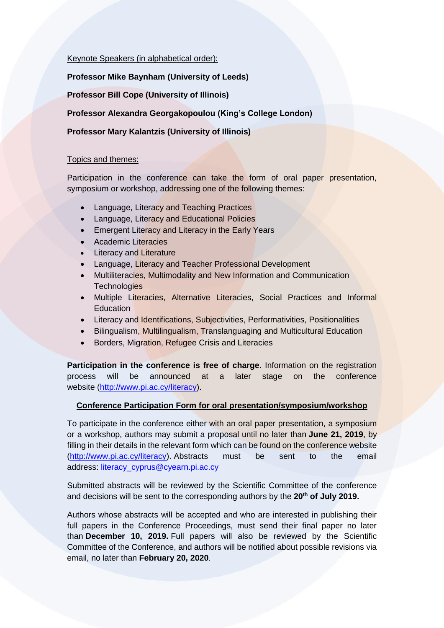#### Keynote Speakers (in alphabetical order):

#### **Professor Mike Baynham (University of Leeds)**

**Professor Bill Cope (University of Illinois)**

### **Professor Alexandra Georgakopoulou (King's College London)**

### **Professor Mary Kalantzis (University of Illinois)**

#### Topics and themes:

Participation in the conference can take the form of oral paper presentation, symposium or workshop, addressing one of the following themes:

- Language, Literacy and Teaching Practices
- Language, Literacy and Educational Policies
- Emergent Literacy and Literacy in the Early Years
- Academic Literacies
- Literacy and Literature
- Language, Literacy and Teacher Professional Development
- Multiliteracies, Multimodality and New Information and Communication **Technologies**
- Multiple Literacies, Alternative Literacies, Social Practices and Informal **Education**
- Literacy and Identifications, Subjectivities, Performativities, Positionalities
- Bilingualism, Multilingualism, Translanguaging and Multicultural Education
- Borders, Migration, Refugee Crisis and Literacies

**Participation in the conference is free of charge.** Information on the registration process will be announced at a later stage on the conference website [\(http://www.pi.ac.cy/literacy\)](http://www.pi.ac.cy/literacy).

#### **Conference Participation Form for oral presentation/symposium/workshop**

To participate in the conference either with an oral paper presentation, a symposium or a workshop, authors may submit a proposal until no later than **June 21, 2019**, by filling in their details in the relevant form which can be found on the conference website [\(http://www.pi.ac.cy/literacy\)](http://www.pi.ac.cy/literacy). Abstracts must be sent to the email address: [literacy\\_cyprus@cyearn.pi.ac.cy](mailto:literacy_cyprus@cyearn.pi.ac.cy)

Submitted abstracts will be reviewed by the Scientific Committee of the conference and decisions will be sent to the corresponding authors by the **20th of July 2019.**

Authors whose abstracts will be accepted and who are interested in publishing their full papers in the Conference Proceedings, must send their final paper no later than **December 10, 2019.** Full papers will also be reviewed by the Scientific Committee of the Conference, and authors will be notified about possible revisions via email, no later than **February 20, 2020**.